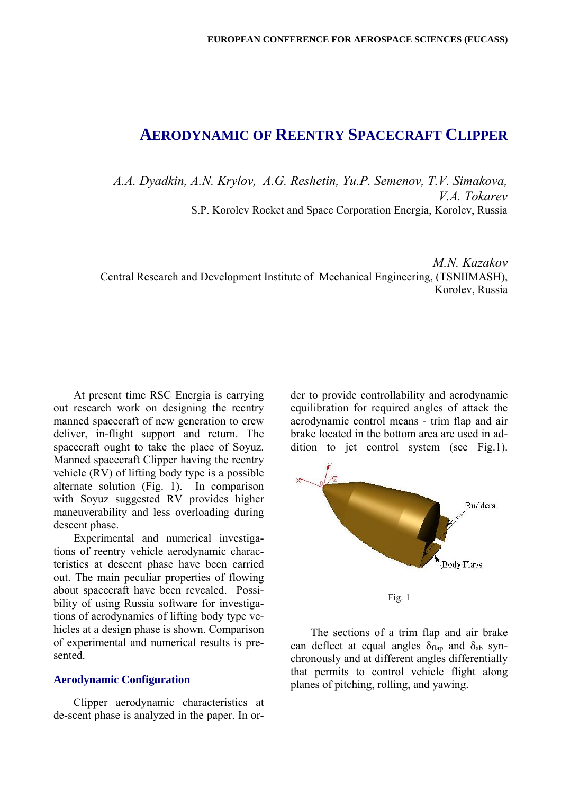# **AERODYNAMIC OF REENTRY SPACECRAFT CLIPPER**

*A.A. Dyadkin, A.N. Krylov, A.G. Reshetin, Yu.P. Semenov, T.V. Simakova, V.A. Tokarev*  S.P. Korolev Rocket and Space Corporation Energia, Korolev, Russia

*M.N. Kazakov*  Central Research and Development Institute of Mechanical Engineering, (TSNIIMASH), Korolev, Russia

At present time RSC Energia is carrying out research work on designing the reentry manned spacecraft of new generation to crew deliver, in-flight support and return. The spacecraft ought to take the place of Soyuz. Manned spacecraft Clipper having the reentry vehicle (RV) of lifting body type is a possible alternate solution (Fig. 1). In comparison with Soyuz suggested RV provides higher maneuverability and less overloading during descent phase.

Experimental and numerical investigations of reentry vehicle aerodynamic characteristics at descent phase have been carried out. The main peculiar properties of flowing about spacecraft have been revealed. Possibility of using Russia software for investigations of aerodynamics of lifting body type vehicles at a design phase is shown. Comparison of experimental and numerical results is presented.

#### **Aerodynamic Configuration**

Clipper aerodynamic characteristics at de-scent phase is analyzed in the paper. In or-

der to provide controllability and aerodynamic equilibration for required angles of attack the aerodynamic control means - trim flap and air brake located in the bottom area are used in addition to jet control system (see Fig.1).



The sections of a trim flap and air brake can deflect at equal angles  $\delta_{\text{flan}}$  and  $\delta_{\text{ab}}$  synchronously and at different angles differentially that permits to control vehicle flight along planes of pitching, rolling, and yawing.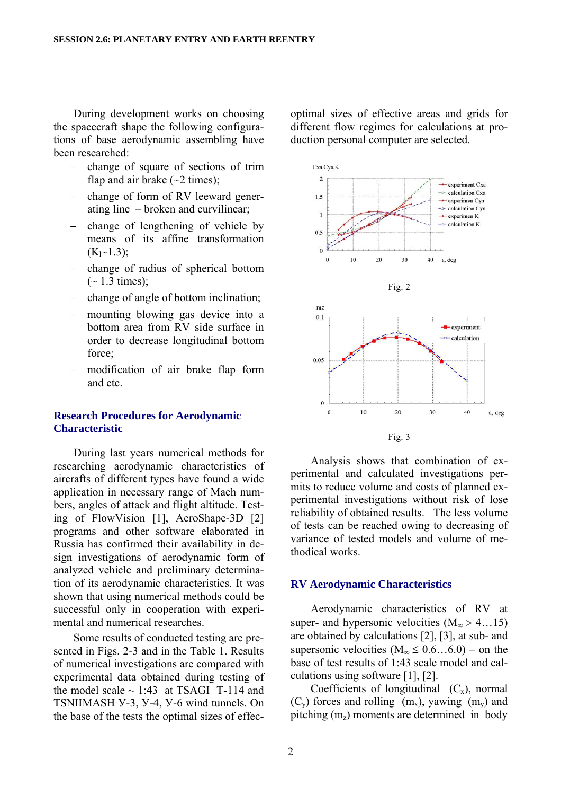During development works on choosing the spacecraft shape the following configurations of base aerodynamic assembling have been researched:

- − change of square of sections of trim flap and air brake  $(\sim 2 \text{ times})$ ;
- − change of form of RV leeward generating line – broken and curvilinear;
- − change of lengthening of vehicle by means of its affine transformation  $(K<sub>1</sub>~1.3)$ ;
- − change of radius of spherical bottom  $(-1.3 \text{ times})$ ;
- − change of angle of bottom inclination;
- − mounting blowing gas device into a bottom area from RV side surface in order to decrease longitudinal bottom force;
- modification of air brake flap form and etc.

## **Research Procedures for Aerodynamic Characteristic**

During last years numerical methods for researching aerodynamic characteristics of aircrafts of different types have found a wide application in necessary range of Mach numbers, angles of attack and flight altitude. Testing of FlowVision [1], AeroShape-3D [2] programs and other software elaborated in Russia has confirmed their availability in design investigations of aerodynamic form of analyzed vehicle and preliminary determination of its aerodynamic characteristics. It was shown that using numerical methods could be successful only in cooperation with experimental and numerical researches.

Some results of conducted testing are presented in Figs. 2-3 and in the Table 1. Results of numerical investigations are compared with experimental data obtained during testing of the model scale  $\sim$  1:43 at TSAGI T-114 and TSNIIMASH У-3, У-4, У-6 wind tunnels. On the base of the tests the optimal sizes of effecoptimal sizes of effective areas and grids for different flow regimes for calculations at production personal computer are selected.



Analysis shows that combination of experimental and calculated investigations permits to reduce volume and costs of planned experimental investigations without risk of lose reliability of obtained results. The less volume of tests can be reached owing to decreasing of variance of tested models and volume of methodical works.

### **RV Aerodynamic Characteristics**

Aerodynamic characteristics of RV at super- and hypersonic velocities  $(M_{\infty} > 4...15)$ are obtained by calculations [2], [3], at sub- and supersonic velocities  $(M_{\infty} \leq 0.6...6.0)$  – on the base of test results of 1:43 scale model and calculations using software [1], [2].

Coefficients of longitudinal  $(C_x)$ , normal  $(C_v)$  forces and rolling  $(m_x)$ , yawing  $(m_v)$  and pitching  $(m_z)$  moments are determined in body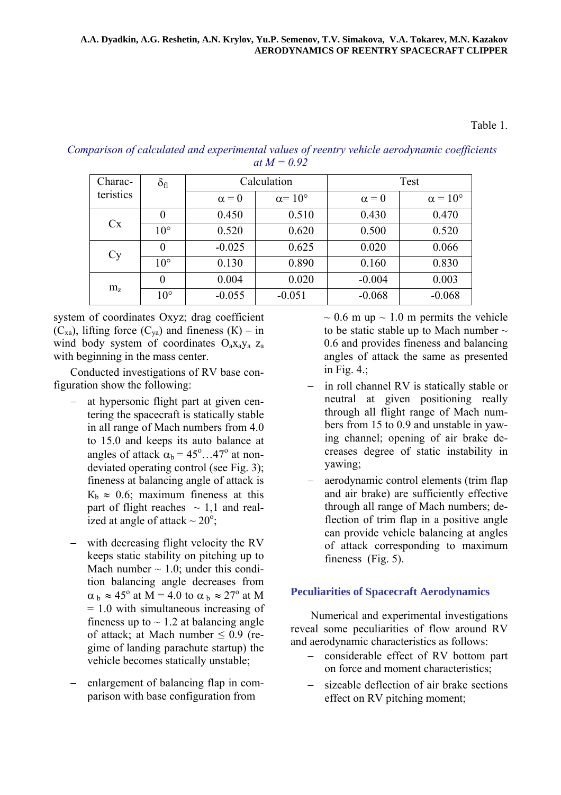## Table 1.

# *Comparison of calculated and experimental values of reentry vehicle aerodynamic coefficients at*  $M = 0.92$

| Charac-        | $\delta_{\rm fl}$ | Calculation  |                       | Test         |                       |  |
|----------------|-------------------|--------------|-----------------------|--------------|-----------------------|--|
| teristics      |                   | $\alpha = 0$ | $\alpha = 10^{\circ}$ | $\alpha = 0$ | $\alpha = 10^{\circ}$ |  |
|                | $\theta$          | 0.450        | 0.510                 | 0.430        | 0.470                 |  |
| Cx             | $10^{\circ}$      | 0.520        | 0.620                 | 0.500        | 0.520                 |  |
| Cy             | 0                 | $-0.025$     | 0.625                 | 0.020        | 0.066                 |  |
|                | $10^{\circ}$      | 0.130        | 0.890                 | 0.160        | 0.830                 |  |
|                | $\theta$          | 0.004        | 0.020                 | $-0.004$     | 0.003                 |  |
| m <sub>z</sub> | $10^{\circ}$      | $-0.055$     | $-0.051$              | $-0.068$     | $-0.068$              |  |

system of coordinates Oxyz; drag coefficient  $(C_{xa})$ , lifting force  $(C_{va})$  and fineness  $(K)$  – in wind body system of coordinates  $O_aX_aY_a$   $Z_a$ with beginning in the mass center.

Conducted investigations of RV base configuration show the following:

- − at hypersonic flight part at given centering the spacecraft is statically stable in all range of Mach numbers from 4.0 to 15.0 and keeps its auto balance at angles of attack  $\alpha_b = 45^\circ ... 47^\circ$  at nondeviated operating control (see Fig. 3); fineness at balancing angle of attack is  $K_b \approx 0.6$ ; maximum fineness at this part of flight reaches  $\sim$  1,1 and realized at angle of attack  $\sim 20^\circ$ ;
- − with decreasing flight velocity the RV keeps static stability on pitching up to Mach number  $\sim$  1.0; under this condition balancing angle decreases from  $\alpha_b \approx 45^\circ$  at M = 4.0 to  $\alpha_b \approx 27^\circ$  at M = 1.0 with simultaneous increasing of fineness up to  $\sim$  1.2 at balancing angle of attack; at Mach number  $\leq 0.9$  (regime of landing parachute startup) the vehicle becomes statically unstable;
- enlargement of balancing flap in comparison with base configuration from

 $\sim$  0.6 m up  $\sim$  1.0 m permits the vehicle to be static stable up to Mach number  $\sim$ 0.6 and provides fineness and balancing angles of attack the same as presented in Fig. 4.;

- − in roll channel RV is statically stable or neutral at given positioning really through all flight range of Mach numbers from 15 to 0.9 and unstable in yawing channel; opening of air brake decreases degree of static instability in yawing;
- aerodynamic control elements (trim flap and air brake) are sufficiently effective through all range of Mach numbers; deflection of trim flap in a positive angle can provide vehicle balancing at angles of attack corresponding to maximum fineness (Fig. 5).

## **Peculiarities of Spacecraft Aerodynamics**

Numerical and experimental investigations reveal some peculiarities of flow around RV and aerodynamic characteristics as follows:

- − considerable effect of RV bottom part on force and moment characteristics;
- sizeable deflection of air brake sections effect on RV pitching moment;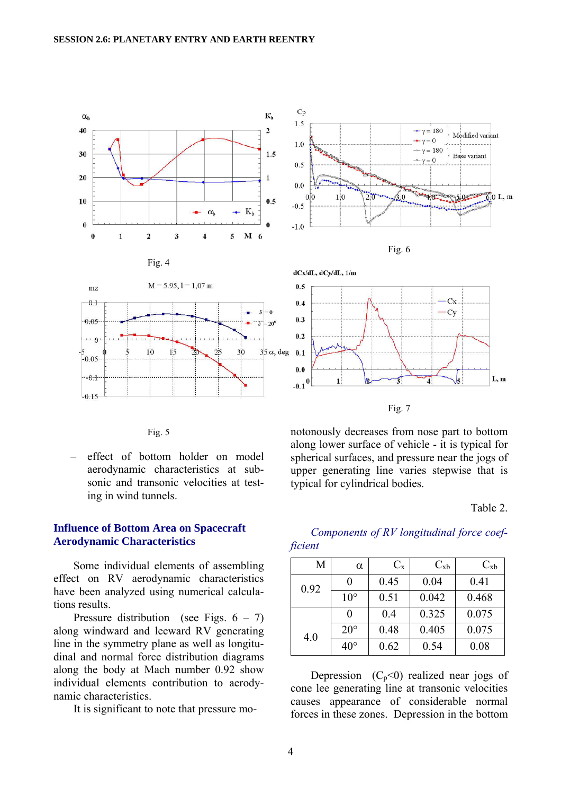

Fig. 5

− effect of bottom holder on model aerodynamic characteristics at subsonic and transonic velocities at testing in wind tunnels.

#### **Influence of Bottom Area on Spacecraft Aerodynamic Characteristics**

Some individual elements of assembling effect on RV aerodynamic characteristics have been analyzed using numerical calculations results.

Pressure distribution (see Figs.  $6 - 7$ ) along windward and leeward RV generating line in the symmetry plane as well as longitudinal and normal force distribution diagrams along the body at Mach number 0.92 show individual elements contribution to aerodynamic characteristics.

It is significant to note that pressure mo-

notonously decreases from nose part to bottom along lower surface of vehicle - it is typical for spherical surfaces, and pressure near the jogs of upper generating line varies stepwise that is typical for cylindrical bodies.

#### Table 2.

## *Components of RV longitudinal force coefficient*

| М    | $\alpha$     | $C_{\rm x}$ | $C_{xb}$ | $C_{xb}$ |  |
|------|--------------|-------------|----------|----------|--|
| 0.92 | 0            | 0.45        | 0.04     | 0.41     |  |
|      | $10^{\circ}$ | 0.51        | 0.042    | 0.468    |  |
|      | 0            | 0.4         | 0.325    | 0.075    |  |
| 4.0  | $20^{\circ}$ | 0.48        | 0.405    | 0.075    |  |
|      | $40^{\circ}$ | 0.62        | 0.54     | 0.08     |  |

Depression  $(C_p<0)$  realized near jogs of cone lee generating line at transonic velocities causes appearance of considerable normal forces in these zones. Depression in the bottom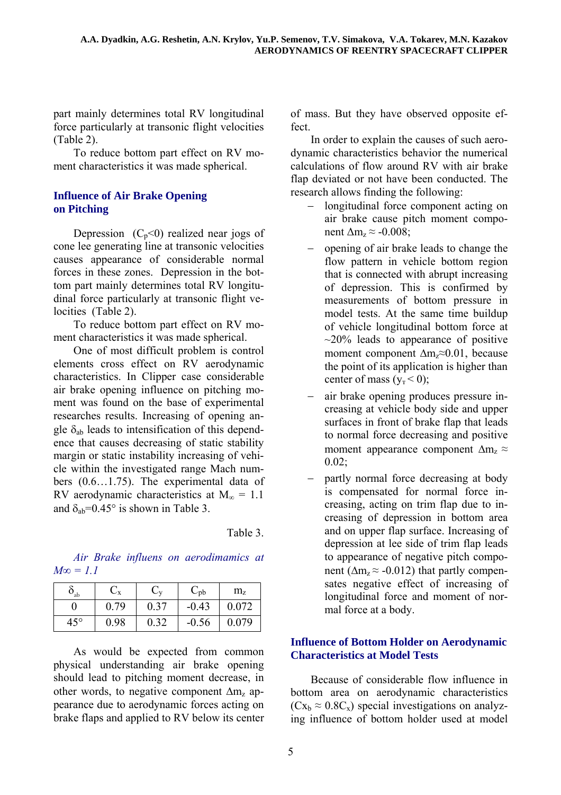part mainly determines total RV longitudinal force particularly at transonic flight velocities (Table 2).

To reduce bottom part effect on RV moment characteristics it was made spherical.

## **Influence of Air Brake Opening on Pitching**

Depression  $(C_p<0)$  realized near jogs of cone lee generating line at transonic velocities causes appearance of considerable normal forces in these zones. Depression in the bottom part mainly determines total RV longitudinal force particularly at transonic flight velocities (Table 2).

To reduce bottom part effect on RV moment characteristics it was made spherical.

One of most difficult problem is control elements cross effect on RV aerodynamic characteristics. In Clipper case considerable air brake opening influence on pitching moment was found on the base of experimental researches results. Increasing of opening angle  $\delta_{ab}$  leads to intensification of this dependence that causes decreasing of static stability margin or static instability increasing of vehicle within the investigated range Mach numbers (0.6…1.75). The experimental data of RV aerodynamic characteristics at  $M_{\infty} = 1.1$ and  $\delta_{ab} = 0.45^{\circ}$  is shown in Table 3.

Table 3.

*Air Brake influens on aerodimamics at*   $M\infty = 1.1$ 

| $\mathbf{O}_{ab}$ | $\cup_{\rm X}$ | $\cup_{\mathbf{v}}$ | $\rm C_{pb}$ | $m_{z}$ |  |
|-------------------|----------------|---------------------|--------------|---------|--|
|                   | 0.79           | 0.37                | $-0.43$      | 0.072   |  |
| $45^{\circ}$      | 0.98           | 0.32                | $-0.56$      | 0.079   |  |

As would be expected from common physical understanding air brake opening should lead to pitching moment decrease, in other words, to negative component  $\Delta m_z$  appearance due to aerodynamic forces acting on brake flaps and applied to RV below its center of mass. But they have observed opposite effect.

In order to explain the causes of such aerodynamic characteristics behavior the numerical calculations of flow around RV with air brake flap deviated or not have been conducted. The research allows finding the following:

- − longitudinal force component acting on air brake cause pitch moment component  $\Delta m_z \approx$  -0.008;
- − opening of air brake leads to change the flow pattern in vehicle bottom region that is connected with abrupt increasing of depression. This is confirmed by measurements of bottom pressure in model tests. At the same time buildup of vehicle longitudinal bottom force at  $\sim$ 20% leads to appearance of positive moment component ∆mz≈0.01, because the point of its application is higher than center of mass  $(y_r < 0)$ ;
- air brake opening produces pressure increasing at vehicle body side and upper surfaces in front of brake flap that leads to normal force decreasing and positive moment appearance component  $\Delta m_z \approx$  $0.02$ ;
- partly normal force decreasing at body is compensated for normal force increasing, acting on trim flap due to increasing of depression in bottom area and on upper flap surface. Increasing of depression at lee side of trim flap leads to appearance of negative pitch component ( $\Delta m_z \approx -0.012$ ) that partly compensates negative effect of increasing of longitudinal force and moment of normal force at a body.

## **Influence of Bottom Holder on Aerodynamic Characteristics at Model Tests**

Because of considerable flow influence in bottom area on aerodynamic characteristics  $(Cx_b \approx 0.8C_x)$  special investigations on analyzing influence of bottom holder used at model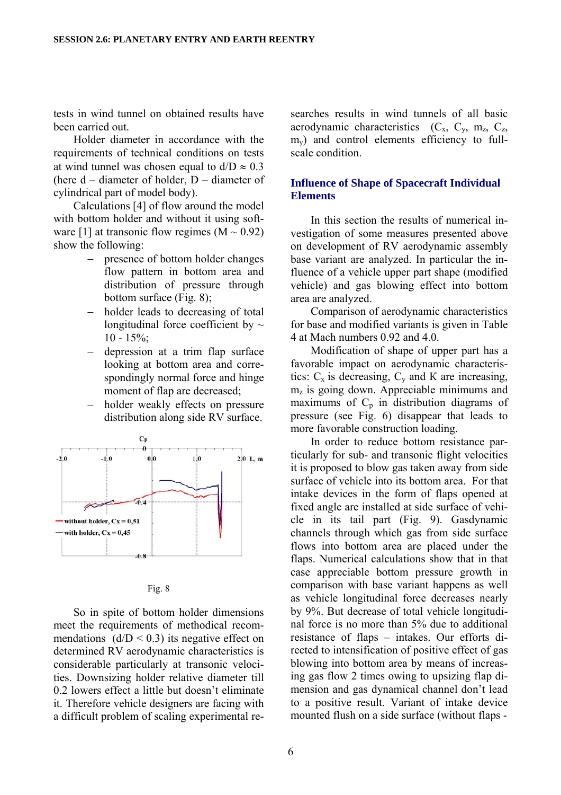tests in wind tunnel on obtained results have been carried out.

Holder diameter in accordance with the requirements of technical conditions on tests at wind tunnel was chosen equal to  $d/D \approx 0.3$ (here d – diameter of holder, D – diameter of cylindrical part of model body).

Calculations [4] of flow around the model with bottom holder and without it using software [1] at transonic flow regimes  $(M \sim 0.92)$ show the following:

- presence of bottom holder changes flow pattern in bottom area and distribution of pressure through bottom surface (Fig. 8);
- holder leads to decreasing of total longitudinal force coefficient by  $\sim$  $10 - 15\%$ ;
- − depression at a trim flap surface looking at bottom area and correspondingly normal force and hinge moment of flap are decreased;
- − holder weakly effects on pressure distribution along side RV surface.



|--|--|

So in spite of bottom holder dimensions meet the requirements of methodical recommendations  $(d/D < 0.3)$  its negative effect on determined RV aerodynamic characteristics is considerable particularly at transonic velocities. Downsizing holder relative diameter till 0.2 lowers effect a little but doesn't eliminate it. Therefore vehicle designers are facing with a difficult problem of scaling experimental researches results in wind tunnels of all basic aerodynamic characteristics  $(C_x, C_y, m_z, C_z)$  $m<sub>v</sub>$ ) and control elements efficiency to fullscale condition.

### **Influence of Shape of Spacecraft Individual Elements**

In this section the results of numerical investigation of some measures presented above on development of RV aerodynamic assembly base variant are analyzed. In particular the influence of a vehicle upper part shape (modified vehicle) and gas blowing effect into bottom area are analyzed.

Comparison of aerodynamic characteristics for base and modified variants is given in Table 4 at Mach numbers 0.92 and 4.0.

Modification of shape of upper part has a favorable impact on aerodynamic characteristics:  $C_x$  is decreasing,  $C_y$  and K are increasing,  $m<sub>z</sub>$  is going down. Appreciable minimums and maximums of  $C_p$  in distribution diagrams of pressure (see Fig. 6) disappear that leads to more favorable construction loading.

In order to reduce bottom resistance particularly for sub- and transonic flight velocities it is proposed to blow gas taken away from side surface of vehicle into its bottom area. For that intake devices in the form of flaps opened at fixed angle are installed at side surface of vehicle in its tail part (Fig. 9). Gasdynamic channels through which gas from side surface flows into bottom area are placed under the flaps. Numerical calculations show that in that case appreciable bottom pressure growth in comparison with base variant happens as well as vehicle longitudinal force decreases nearly by 9%. But decrease of total vehicle longitudinal force is no more than 5% due to additional resistance of flaps – intakes. Our efforts directed to intensification of positive effect of gas blowing into bottom area by means of increasing gas flow 2 times owing to upsizing flap dimension and gas dynamical channel don't lead to a positive result. Variant of intake device mounted flush on a side surface (without flaps -